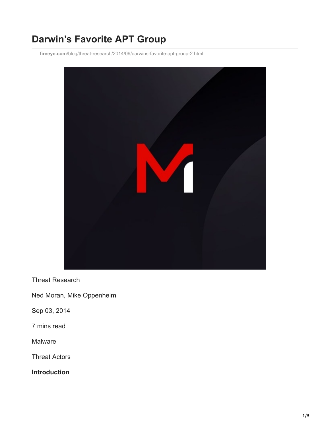# **Darwin's Favorite APT Group**

**fireeye.com**[/blog/threat-research/2014/09/darwins-favorite-apt-group-2.html](https://www.fireeye.com/blog/threat-research/2014/09/darwins-favorite-apt-group-2.html)



Threat Research

Ned Moran, Mike Oppenheim

Sep 03, 2014

7 mins read

**Malware** 

Threat Actors

**Introduction**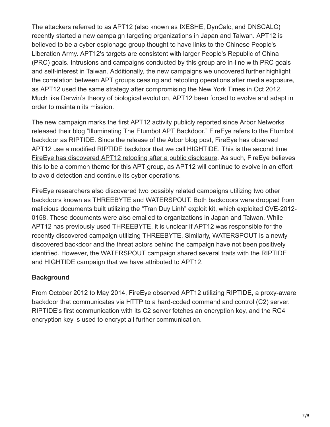The attackers referred to as APT12 (also known as IXESHE, DynCalc, and DNSCALC) recently started a new campaign targeting organizations in Japan and Taiwan. APT12 is believed to be a cyber espionage group thought to have links to the Chinese People's Liberation Army. APT12's targets are consistent with larger People's Republic of China (PRC) goals. Intrusions and campaigns conducted by this group are in-line with PRC goals and self-interest in Taiwan. Additionally, the new campaigns we uncovered further highlight the correlation between APT groups ceasing and retooling operations after media exposure, as APT12 used the same strategy after compromising the New York Times in Oct 2012. Much like Darwin's theory of biological evolution, APT12 been forced to evolve and adapt in order to maintain its mission.

The new campaign marks the first APT12 activity publicly reported since Arbor Networks released their blog "[Illuminating The Etumbot APT Backdoor.](https://www.netscout.com/arbor-ddos)" FireEye refers to the Etumbot backdoor as RIPTIDE. Since the release of the Arbor blog post, FireEye has observed [APT12 use a modified RIPTIDE backdoor that we call HIGHTIDE. This is the second time](https://www.fireeye.com/blog/threat-research/2013/08/survival-of-the-fittest-new-york-times-attackers-evolve-quickly.html) FireEye has discovered APT12 retooling after a public disclosure. As such, FireEye believes this to be a common theme for this APT group, as APT12 will continue to evolve in an effort to avoid detection and continue its cyber operations.

FireEye researchers also discovered two possibly related campaigns utilizing two other backdoors known as THREEBYTE and WATERSPOUT. Both backdoors were dropped from malicious documents built utilizing the "Tran Duy Linh" exploit kit, which exploited CVE-2012- 0158. These documents were also emailed to organizations in Japan and Taiwan. While APT12 has previously used THREEBYTE, it is unclear if APT12 was responsible for the recently discovered campaign utilizing THREEBYTE. Similarly, WATERSPOUT is a newly discovered backdoor and the threat actors behind the campaign have not been positively identified. However, the WATERSPOUT campaign shared several traits with the RIPTIDE and HIGHTIDE campaign that we have attributed to APT12.

#### **Background**

From October 2012 to May 2014, FireEye observed APT12 utilizing RIPTIDE, a proxy-aware backdoor that communicates via HTTP to a hard-coded command and control (C2) server. RIPTIDE's first communication with its C2 server fetches an encryption key, and the RC4 encryption key is used to encrypt all further communication.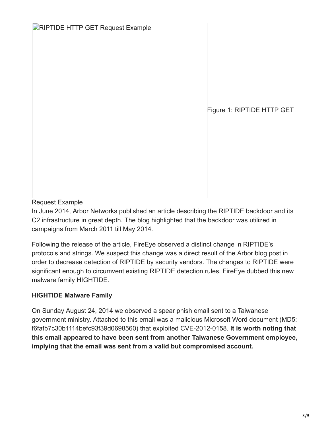| RIPTIDE HTTP GET Request Example |  |  |
|----------------------------------|--|--|
|----------------------------------|--|--|

Figure 1: RIPTIDE HTTP GET

Request Example

In June 2014, [Arbor Networks published an article](https://www.netscout.com/arbor-ddos) describing the RIPTIDE backdoor and its C2 infrastructure in great depth. The blog highlighted that the backdoor was utilized in campaigns from March 2011 till May 2014.

Following the release of the article, FireEye observed a distinct change in RIPTIDE's protocols and strings. We suspect this change was a direct result of the Arbor blog post in order to decrease detection of RIPTIDE by security vendors. The changes to RIPTIDE were significant enough to circumvent existing RIPTIDE detection rules. FireEye dubbed this new malware family HIGHTIDE.

## **HIGHTIDE Malware Family**

On Sunday August 24, 2014 we observed a spear phish email sent to a Taiwanese government ministry. Attached to this email was a malicious Microsoft Word document (MD5: f6fafb7c30b1114befc93f39d0698560) that exploited CVE-2012-0158. **It is worth noting that this email appeared to have been sent from another Taiwanese Government employee, implying that the email was sent from a valid but compromised account.**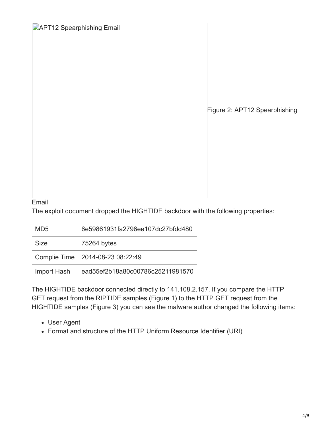| <b>APT12 Spearphishing Email</b> |  |
|----------------------------------|--|
|----------------------------------|--|

Figure 2: APT12 Spearphishing

Email

The exploit document dropped the HIGHTIDE backdoor with the following properties:

MD5 6e59861931fa2796ee107dc27bfdd480

Size 75264 bytes

Complie Time 2014-08-23 08:22:49

Import Hash ead55ef2b18a80c00786c25211981570

The HIGHTIDE backdoor connected directly to 141.108.2.157. If you compare the HTTP GET request from the RIPTIDE samples (Figure 1) to the HTTP GET request from the HIGHTIDE samples (Figure 3) you can see the malware author changed the following items:

- User Agent
- Format and structure of the HTTP Uniform Resource Identifier (URI)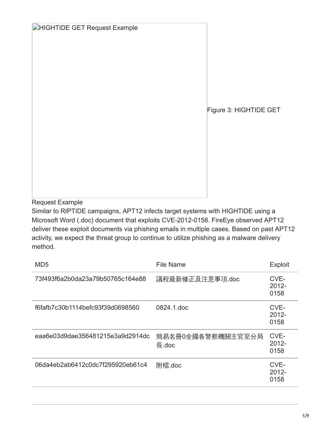Figure 3: HIGHTIDE GET

Request Example

Similar to RIPTIDE campaigns, APT12 infects target systems with HIGHTIDE using a Microsoft Word (.doc) document that exploits CVE-2012-0158. FireEye observed APT12 deliver these exploit documents via phishing emails in multiple cases. Based on past APT12 activity, we expect the threat group to continue to utilize phishing as a malware delivery method.

| MD <sub>5</sub>                  | <b>File Name</b>           | <b>Exploit</b>           |
|----------------------------------|----------------------------|--------------------------|
| 73f493f6a2b0da23a79b50765c164e88 | 議程最新修正及注意事項.doc            | CVE-<br>$2012 -$<br>0158 |
| f6fafb7c30b1114befc93f39d0698560 | 0824.1.doc                 | CVE-<br>$2012 -$<br>0158 |
| eaa6e03d9dae356481215e3a9d2914dc | 簡易名冊0全國各警察機關主官至分局<br>長.doc | CVE-<br>$2012 -$<br>0158 |
| 06da4eb2ab6412c0dc7f295920eb61c4 | 附檔.doc                     | CVE-<br>$2012 -$<br>0158 |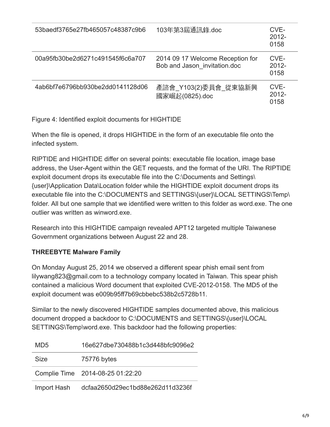| 53baedf3765e27fb465057c48387c9b6 | 103年第3屆通訊錄.doc                                                   | CVE-<br>$2012 -$<br>0158 |
|----------------------------------|------------------------------------------------------------------|--------------------------|
| 00a95fb30be2d6271c491545f6c6a707 | 2014 09 17 Welcome Reception for<br>Bob and Jason invitation.doc | CVE-<br>$2012 -$<br>0158 |
| 4ab6bf7e6796bb930be2dd0141128d06 | 產諮會 Y103(2)委員會 從東協新興<br>國家崛起(0825).doc                           | CVE-<br>$2012 -$<br>0158 |

Figure 4: Identified exploit documents for HIGHTIDE

When the file is opened, it drops HIGHTIDE in the form of an executable file onto the infected system.

RIPTIDE and HIGHTIDE differ on several points: executable file location, image base address, the User-Agent within the GET requests, and the format of the URI. The RIPTIDE exploit document drops its executable file into the C:\Documents and Settings\ {user}\Application Data\Location folder while the HIGHTIDE exploit document drops its executable file into the C:\DOCUMENTS and SETTINGS\{user}\LOCAL SETTINGS\Temp\ folder. All but one sample that we identified were written to this folder as word.exe. The one outlier was written as winword.exe.

Research into this HIGHTIDE campaign revealed APT12 targeted multiple Taiwanese Government organizations between August 22 and 28.

## **THREEBYTE Malware Family**

On Monday August 25, 2014 we observed a different spear phish email sent from lilywang823@gmail.com to a technology company located in Taiwan. This spear phish contained a malicious Word document that exploited CVE-2012-0158. The MD5 of the exploit document was e009b95ff7b69cbbebc538b2c5728b11.

Similar to the newly discovered HIGHTIDE samples documented above, this malicious document dropped a backdoor to C:\DOCUMENTS and SETTINGS\{user}\LOCAL SETTINGS\Temp\word.exe. This backdoor had the following properties:

| MD <sub>5</sub> | 16e627dbe730488b1c3d448bfc9096e2 |
|-----------------|----------------------------------|
| Size            | 75776 bytes                      |
|                 | Complie Time 2014-08-25 01:22:20 |
| Import Hash     | dcfaa2650d29ec1bd88e262d11d3236f |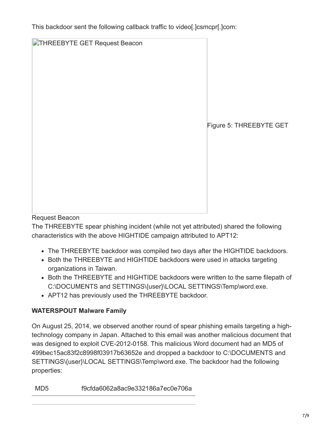This backdoor sent the following callback traffic to video[.]csmcpr[.]com:

| <b>DITHREEBYTE GET Request Beacon</b> | Figure 5: THREEBYTE GET |
|---------------------------------------|-------------------------|
|                                       |                         |

## Request Beacon

The THREEBYTE spear phishing incident (while not yet attributed) shared the following characteristics with the above HIGHTIDE campaign attributed to APT12:

- The THREEBYTE backdoor was compiled two days after the HIGHTIDE backdoors.
- Both the THREEBYTE and HIGHTIDE backdoors were used in attacks targeting organizations in Taiwan.
- Both the THREEBYTE and HIGHTIDE backdoors were written to the same filepath of C:\DOCUMENTS and SETTINGS\{user}\LOCAL SETTINGS\Temp\word.exe.
- APT12 has previously used the THREEBYTE backdoor.

# **WATERSPOUT Malware Family**

On August 25, 2014, we observed another round of spear phishing emails targeting a hightechnology company in Japan. Attached to this email was another malicious document that was designed to exploit CVE-2012-0158. This malicious Word document had an MD5 of 499bec15ac83f2c8998f03917b63652e and dropped a backdoor to C:\DOCUMENTS and SETTINGS\{user}\LOCAL SETTINGS\Temp\word.exe. The backdoor had the following properties: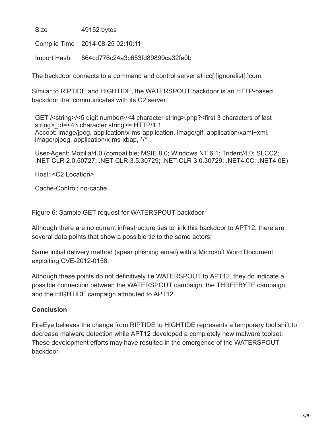Size 49152 bytes

Complie Time 2014-08-25 02:10:11

Import Hash 864cd776c24a3c653fd89899ca32fe0b

The backdoor connects to a command and control server at icc[.]ignorelist[.]com.

Similar to RIPTIDE and HIGHTIDE, the WATERSPOUT backdoor is an HTTP-based backdoor that communicates with its C2 server.

GET /<string>/<5 digit number>/<4 character string>.php?<first 3 characters of last string> id=<43 character string>= HTTP/1.1 Accept: image/jpeg, application/x-ms-application, image/gif, application/xaml+xml, image/pjpeg, application/x-ms-xbap, \*/\*

User-Agent: Mozilla/4.0 (compatible; MSIE 8.0; Windows NT 6.1; Trident/4.0; SLCC2; .NET CLR 2.0.50727; .NET CLR 3.5.30729; .NET CLR 3.0.30729; .NET4.0C; .NET4.0E)

Host: <C2 Location>

Cache-Control: no-cache

Figure 6: Sample GET request for WATERSPOUT backdoor

Although there are no current infrastructure ties to link this backdoor to APT12, there are several data points that show a possible tie to the same actors:

Same initial delivery method (spear phishing email) with a Microsoft Word Document exploiting CVE-2012-0158.

Although these points do not definitively tie WATERSPOUT to APT12, they do indicate a possible connection between the WATERSPOUT campaign, the THREEBYTE campaign, and the HIGHTIDE campaign attributed to APT12.

#### **Conclusion**

FireEye believes the change from RIPTIDE to HIGHTIDE represents a temporary tool shift to decrease malware detection while APT12 developed a completely new malware toolset. These development efforts may have resulted in the emergence of the WATERSPOUT backdoor.